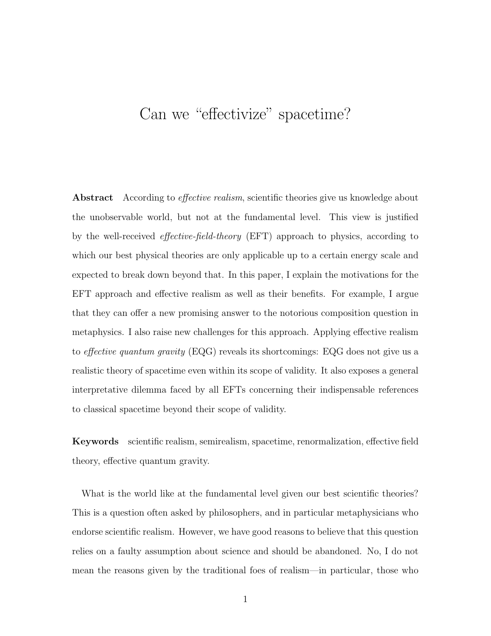# Can we "effectivize" spacetime?

Abstract According to *effective realism*, scientific theories give us knowledge about the unobservable world, but not at the fundamental level. This view is justified by the well-received effective-field-theory (EFT) approach to physics, according to which our best physical theories are only applicable up to a certain energy scale and expected to break down beyond that. In this paper, I explain the motivations for the EFT approach and effective realism as well as their benefits. For example, I argue that they can offer a new promising answer to the notorious composition question in metaphysics. I also raise new challenges for this approach. Applying effective realism to *effective quantum gravity* (EQG) reveals its shortcomings: EQG does not give us a realistic theory of spacetime even within its scope of validity. It also exposes a general interpretative dilemma faced by all EFTs concerning their indispensable references to classical spacetime beyond their scope of validity.

Keywords scientific realism, semirealism, spacetime, renormalization, effective field theory, effective quantum gravity.

What is the world like at the fundamental level given our best scientific theories? This is a question often asked by philosophers, and in particular metaphysicians who endorse scientific realism. However, we have good reasons to believe that this question relies on a faulty assumption about science and should be abandoned. No, I do not mean the reasons given by the traditional foes of realism—in particular, those who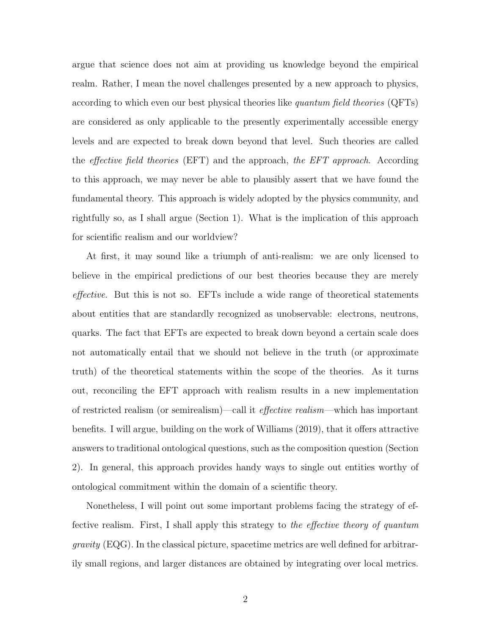argue that science does not aim at providing us knowledge beyond the empirical realm. Rather, I mean the novel challenges presented by a new approach to physics, according to which even our best physical theories like quantum field theories (QFTs) are considered as only applicable to the presently experimentally accessible energy levels and are expected to break down beyond that level. Such theories are called the *effective field theories* (EFT) and the approach, the EFT approach. According to this approach, we may never be able to plausibly assert that we have found the fundamental theory. This approach is widely adopted by the physics community, and rightfully so, as I shall argue (Section 1). What is the implication of this approach for scientific realism and our worldview?

At first, it may sound like a triumph of anti-realism: we are only licensed to believe in the empirical predictions of our best theories because they are merely effective. But this is not so. EFTs include a wide range of theoretical statements about entities that are standardly recognized as unobservable: electrons, neutrons, quarks. The fact that EFTs are expected to break down beyond a certain scale does not automatically entail that we should not believe in the truth (or approximate truth) of the theoretical statements within the scope of the theories. As it turns out, reconciling the EFT approach with realism results in a new implementation of restricted realism (or semirealism)—call it effective realism—which has important benefits. I will argue, building on the work of Williams (2019), that it offers attractive answers to traditional ontological questions, such as the composition question (Section 2). In general, this approach provides handy ways to single out entities worthy of ontological commitment within the domain of a scientific theory.

Nonetheless, I will point out some important problems facing the strategy of effective realism. First, I shall apply this strategy to the effective theory of quantum gravity (EQG). In the classical picture, spacetime metrics are well defined for arbitrarily small regions, and larger distances are obtained by integrating over local metrics.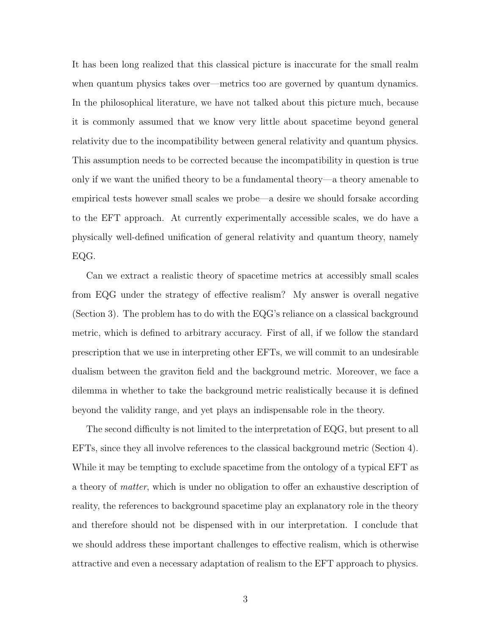It has been long realized that this classical picture is inaccurate for the small realm when quantum physics takes over—metrics too are governed by quantum dynamics. In the philosophical literature, we have not talked about this picture much, because it is commonly assumed that we know very little about spacetime beyond general relativity due to the incompatibility between general relativity and quantum physics. This assumption needs to be corrected because the incompatibility in question is true only if we want the unified theory to be a fundamental theory—a theory amenable to empirical tests however small scales we probe—a desire we should forsake according to the EFT approach. At currently experimentally accessible scales, we do have a physically well-defined unification of general relativity and quantum theory, namely EQG.

Can we extract a realistic theory of spacetime metrics at accessibly small scales from EQG under the strategy of effective realism? My answer is overall negative (Section 3). The problem has to do with the EQG's reliance on a classical background metric, which is defined to arbitrary accuracy. First of all, if we follow the standard prescription that we use in interpreting other EFTs, we will commit to an undesirable dualism between the graviton field and the background metric. Moreover, we face a dilemma in whether to take the background metric realistically because it is defined beyond the validity range, and yet plays an indispensable role in the theory.

The second difficulty is not limited to the interpretation of EQG, but present to all EFTs, since they all involve references to the classical background metric (Section 4). While it may be tempting to exclude spacetime from the ontology of a typical EFT as a theory of matter, which is under no obligation to offer an exhaustive description of reality, the references to background spacetime play an explanatory role in the theory and therefore should not be dispensed with in our interpretation. I conclude that we should address these important challenges to effective realism, which is otherwise attractive and even a necessary adaptation of realism to the EFT approach to physics.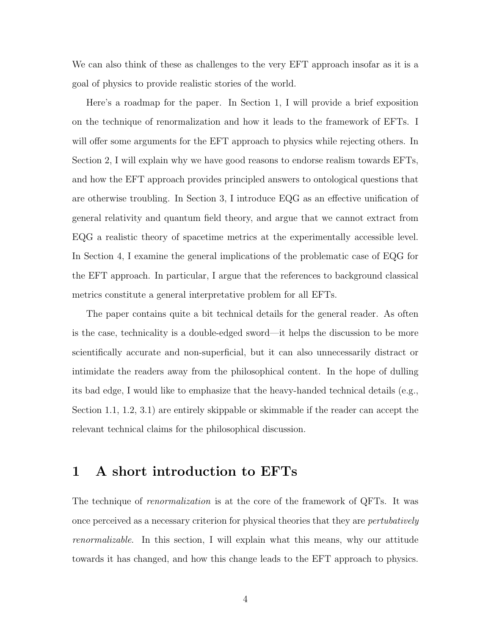We can also think of these as challenges to the very EFT approach insofar as it is a goal of physics to provide realistic stories of the world.

Here's a roadmap for the paper. In Section 1, I will provide a brief exposition on the technique of renormalization and how it leads to the framework of EFTs. I will offer some arguments for the EFT approach to physics while rejecting others. In Section 2, I will explain why we have good reasons to endorse realism towards EFTs, and how the EFT approach provides principled answers to ontological questions that are otherwise troubling. In Section 3, I introduce EQG as an effective unification of general relativity and quantum field theory, and argue that we cannot extract from EQG a realistic theory of spacetime metrics at the experimentally accessible level. In Section 4, I examine the general implications of the problematic case of EQG for the EFT approach. In particular, I argue that the references to background classical metrics constitute a general interpretative problem for all EFTs.

The paper contains quite a bit technical details for the general reader. As often is the case, technicality is a double-edged sword—it helps the discussion to be more scientifically accurate and non-superficial, but it can also unnecessarily distract or intimidate the readers away from the philosophical content. In the hope of dulling its bad edge, I would like to emphasize that the heavy-handed technical details (e.g., Section 1.1, 1.2, 3.1) are entirely skippable or skimmable if the reader can accept the relevant technical claims for the philosophical discussion.

### 1 A short introduction to EFTs

The technique of *renormalization* is at the core of the framework of QFTs. It was once perceived as a necessary criterion for physical theories that they are pertubatively renormalizable. In this section, I will explain what this means, why our attitude towards it has changed, and how this change leads to the EFT approach to physics.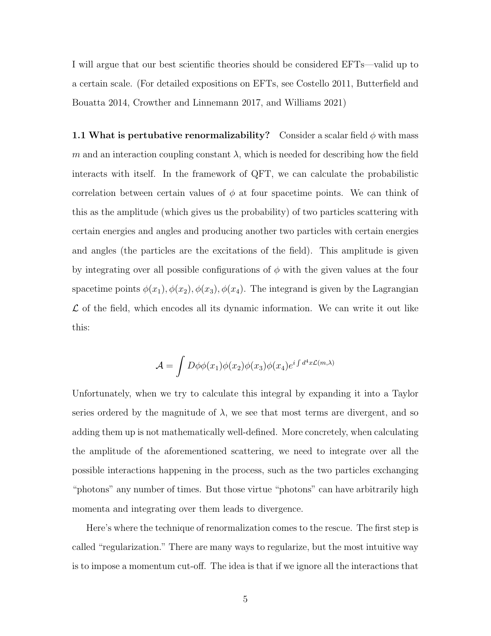I will argue that our best scientific theories should be considered EFTs—valid up to a certain scale. (For detailed expositions on EFTs, see Costello 2011, Butterfield and Bouatta 2014, Crowther and Linnemann 2017, and Williams 2021)

1.1 What is pertubative renormalizability? Consider a scalar field  $\phi$  with mass m and an interaction coupling constant  $\lambda$ , which is needed for describing how the field interacts with itself. In the framework of QFT, we can calculate the probabilistic correlation between certain values of  $\phi$  at four spacetime points. We can think of this as the amplitude (which gives us the probability) of two particles scattering with certain energies and angles and producing another two particles with certain energies and angles (the particles are the excitations of the field). This amplitude is given by integrating over all possible configurations of  $\phi$  with the given values at the four spacetime points  $\phi(x_1), \phi(x_2), \phi(x_3), \phi(x_4)$ . The integrand is given by the Lagrangian  $\mathcal L$  of the field, which encodes all its dynamic information. We can write it out like this:

$$
\mathcal{A} = \int D\phi\phi(x_1)\phi(x_2)\phi(x_3)\phi(x_4)e^{i\int d^4x \mathcal{L}(m,\lambda)}
$$

Unfortunately, when we try to calculate this integral by expanding it into a Taylor series ordered by the magnitude of  $\lambda$ , we see that most terms are divergent, and so adding them up is not mathematically well-defined. More concretely, when calculating the amplitude of the aforementioned scattering, we need to integrate over all the possible interactions happening in the process, such as the two particles exchanging "photons" any number of times. But those virtue "photons" can have arbitrarily high momenta and integrating over them leads to divergence.

Here's where the technique of renormalization comes to the rescue. The first step is called "regularization." There are many ways to regularize, but the most intuitive way is to impose a momentum cut-off. The idea is that if we ignore all the interactions that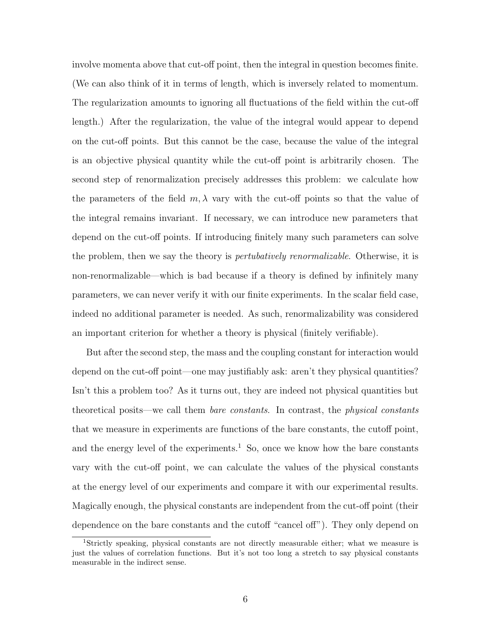involve momenta above that cut-off point, then the integral in question becomes finite. (We can also think of it in terms of length, which is inversely related to momentum. The regularization amounts to ignoring all fluctuations of the field within the cut-off length.) After the regularization, the value of the integral would appear to depend on the cut-off points. But this cannot be the case, because the value of the integral is an objective physical quantity while the cut-off point is arbitrarily chosen. The second step of renormalization precisely addresses this problem: we calculate how the parameters of the field  $m, \lambda$  vary with the cut-off points so that the value of the integral remains invariant. If necessary, we can introduce new parameters that depend on the cut-off points. If introducing finitely many such parameters can solve the problem, then we say the theory is *pertubatively renormalizable*. Otherwise, it is non-renormalizable—which is bad because if a theory is defined by infinitely many parameters, we can never verify it with our finite experiments. In the scalar field case, indeed no additional parameter is needed. As such, renormalizability was considered an important criterion for whether a theory is physical (finitely verifiable).

But after the second step, the mass and the coupling constant for interaction would depend on the cut-off point—one may justifiably ask: aren't they physical quantities? Isn't this a problem too? As it turns out, they are indeed not physical quantities but theoretical posits—we call them bare constants. In contrast, the physical constants that we measure in experiments are functions of the bare constants, the cutoff point, and the energy level of the experiments.<sup>1</sup> So, once we know how the bare constants vary with the cut-off point, we can calculate the values of the physical constants at the energy level of our experiments and compare it with our experimental results. Magically enough, the physical constants are independent from the cut-off point (their dependence on the bare constants and the cutoff "cancel off"). They only depend on

<sup>1</sup>Strictly speaking, physical constants are not directly measurable either; what we measure is just the values of correlation functions. But it's not too long a stretch to say physical constants measurable in the indirect sense.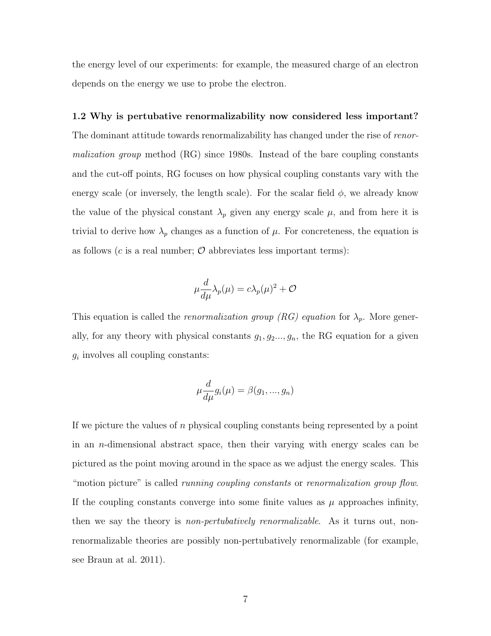the energy level of our experiments: for example, the measured charge of an electron depends on the energy we use to probe the electron.

#### 1.2 Why is pertubative renormalizability now considered less important?

The dominant attitude towards renormalizability has changed under the rise of renormalization group method (RG) since 1980s. Instead of the bare coupling constants and the cut-off points, RG focuses on how physical coupling constants vary with the energy scale (or inversely, the length scale). For the scalar field  $\phi$ , we already know the value of the physical constant  $\lambda_p$  given any energy scale  $\mu$ , and from here it is trivial to derive how  $\lambda_p$  changes as a function of  $\mu$ . For concreteness, the equation is as follows ( $c$  is a real number;  $\mathcal O$  abbreviates less important terms):

$$
\mu \frac{d}{d\mu} \lambda_p(\mu) = c \lambda_p(\mu)^2 + \mathcal{O}
$$

This equation is called the *renormalization group*  $(RG)$  equation for  $\lambda_p$ . More generally, for any theory with physical constants  $g_1, g_2, \ldots, g_n$ , the RG equation for a given  $g_i$  involves all coupling constants:

$$
\mu \frac{d}{d\mu} g_i(\mu) = \beta(g_1, ..., g_n)
$$

If we picture the values of n physical coupling constants being represented by a point in an *n*-dimensional abstract space, then their varying with energy scales can be pictured as the point moving around in the space as we adjust the energy scales. This "motion picture" is called *running coupling constants* or *renormalization group flow*. If the coupling constants converge into some finite values as  $\mu$  approaches infinity, then we say the theory is *non-pertubatively renormalizable*. As it turns out, nonrenormalizable theories are possibly non-pertubatively renormalizable (for example, see Braun at al. 2011).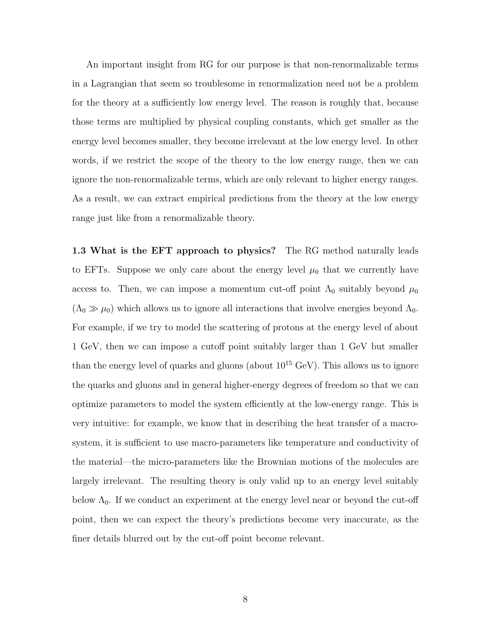An important insight from RG for our purpose is that non-renormalizable terms in a Lagrangian that seem so troublesome in renormalization need not be a problem for the theory at a sufficiently low energy level. The reason is roughly that, because those terms are multiplied by physical coupling constants, which get smaller as the energy level becomes smaller, they become irrelevant at the low energy level. In other words, if we restrict the scope of the theory to the low energy range, then we can ignore the non-renormalizable terms, which are only relevant to higher energy ranges. As a result, we can extract empirical predictions from the theory at the low energy range just like from a renormalizable theory.

1.3 What is the EFT approach to physics? The RG method naturally leads to EFTs. Suppose we only care about the energy level  $\mu_0$  that we currently have access to. Then, we can impose a momentum cut-off point  $\Lambda_0$  suitably beyond  $\mu_0$  $(\Lambda_0 \gg \mu_0)$  which allows us to ignore all interactions that involve energies beyond  $\Lambda_0$ . For example, if we try to model the scattering of protons at the energy level of about 1 GeV, then we can impose a cutoff point suitably larger than 1 GeV but smaller than the energy level of quarks and gluons (about  $10^{15}$  GeV). This allows us to ignore the quarks and gluons and in general higher-energy degrees of freedom so that we can optimize parameters to model the system efficiently at the low-energy range. This is very intuitive: for example, we know that in describing the heat transfer of a macrosystem, it is sufficient to use macro-parameters like temperature and conductivity of the material—the micro-parameters like the Brownian motions of the molecules are largely irrelevant. The resulting theory is only valid up to an energy level suitably below  $\Lambda_0$ . If we conduct an experiment at the energy level near or beyond the cut-off point, then we can expect the theory's predictions become very inaccurate, as the finer details blurred out by the cut-off point become relevant.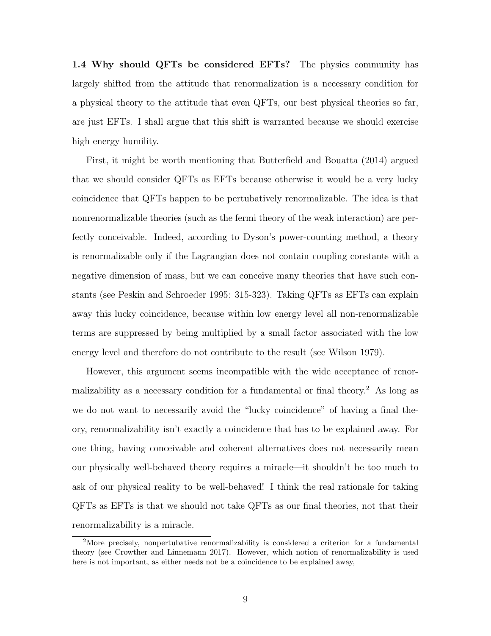1.4 Why should QFTs be considered EFTs? The physics community has largely shifted from the attitude that renormalization is a necessary condition for a physical theory to the attitude that even QFTs, our best physical theories so far, are just EFTs. I shall argue that this shift is warranted because we should exercise high energy humility.

First, it might be worth mentioning that Butterfield and Bouatta (2014) argued that we should consider QFTs as EFTs because otherwise it would be a very lucky coincidence that QFTs happen to be pertubatively renormalizable. The idea is that nonrenormalizable theories (such as the fermi theory of the weak interaction) are perfectly conceivable. Indeed, according to Dyson's power-counting method, a theory is renormalizable only if the Lagrangian does not contain coupling constants with a negative dimension of mass, but we can conceive many theories that have such constants (see Peskin and Schroeder 1995: 315-323). Taking QFTs as EFTs can explain away this lucky coincidence, because within low energy level all non-renormalizable terms are suppressed by being multiplied by a small factor associated with the low energy level and therefore do not contribute to the result (see Wilson 1979).

However, this argument seems incompatible with the wide acceptance of renormalizability as a necessary condition for a fundamental or final theory.<sup>2</sup> As long as we do not want to necessarily avoid the "lucky coincidence" of having a final theory, renormalizability isn't exactly a coincidence that has to be explained away. For one thing, having conceivable and coherent alternatives does not necessarily mean our physically well-behaved theory requires a miracle—it shouldn't be too much to ask of our physical reality to be well-behaved! I think the real rationale for taking QFTs as EFTs is that we should not take QFTs as our final theories, not that their renormalizability is a miracle.

<sup>2</sup>More precisely, nonpertubative renormalizability is considered a criterion for a fundamental theory (see Crowther and Linnemann 2017). However, which notion of renormalizability is used here is not important, as either needs not be a coincidence to be explained away,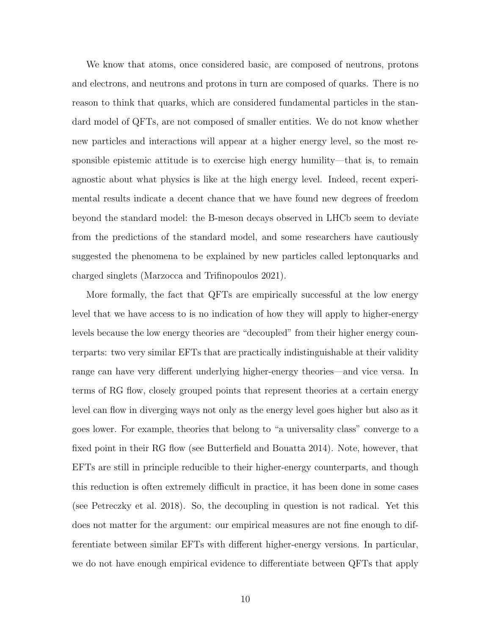We know that atoms, once considered basic, are composed of neutrons, protons and electrons, and neutrons and protons in turn are composed of quarks. There is no reason to think that quarks, which are considered fundamental particles in the standard model of QFTs, are not composed of smaller entities. We do not know whether new particles and interactions will appear at a higher energy level, so the most responsible epistemic attitude is to exercise high energy humility—that is, to remain agnostic about what physics is like at the high energy level. Indeed, recent experimental results indicate a decent chance that we have found new degrees of freedom beyond the standard model: the B-meson decays observed in LHCb seem to deviate from the predictions of the standard model, and some researchers have cautiously suggested the phenomena to be explained by new particles called leptonquarks and charged singlets (Marzocca and Trifinopoulos 2021).

More formally, the fact that QFTs are empirically successful at the low energy level that we have access to is no indication of how they will apply to higher-energy levels because the low energy theories are "decoupled" from their higher energy counterparts: two very similar EFTs that are practically indistinguishable at their validity range can have very different underlying higher-energy theories—and vice versa. In terms of RG flow, closely grouped points that represent theories at a certain energy level can flow in diverging ways not only as the energy level goes higher but also as it goes lower. For example, theories that belong to "a universality class" converge to a fixed point in their RG flow (see Butterfield and Bouatta 2014). Note, however, that EFTs are still in principle reducible to their higher-energy counterparts, and though this reduction is often extremely difficult in practice, it has been done in some cases (see Petreczky et al. 2018). So, the decoupling in question is not radical. Yet this does not matter for the argument: our empirical measures are not fine enough to differentiate between similar EFTs with different higher-energy versions. In particular, we do not have enough empirical evidence to differentiate between QFTs that apply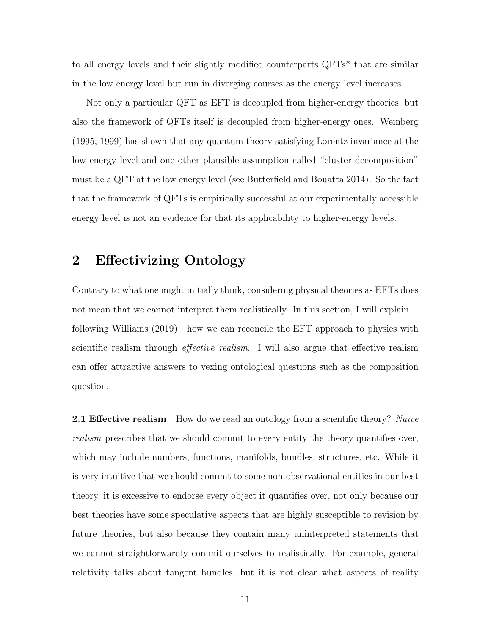to all energy levels and their slightly modified counterparts QFTs\* that are similar in the low energy level but run in diverging courses as the energy level increases.

Not only a particular QFT as EFT is decoupled from higher-energy theories, but also the framework of QFTs itself is decoupled from higher-energy ones. Weinberg (1995, 1999) has shown that any quantum theory satisfying Lorentz invariance at the low energy level and one other plausible assumption called "cluster decomposition" must be a QFT at the low energy level (see Butterfield and Bouatta 2014). So the fact that the framework of QFTs is empirically successful at our experimentally accessible energy level is not an evidence for that its applicability to higher-energy levels.

## 2 Effectivizing Ontology

Contrary to what one might initially think, considering physical theories as EFTs does not mean that we cannot interpret them realistically. In this section, I will explain following Williams (2019)—how we can reconcile the EFT approach to physics with scientific realism through *effective realism*. I will also argue that effective realism can offer attractive answers to vexing ontological questions such as the composition question.

**2.1 Effective realism** How do we read an ontology from a scientific theory? Naive realism prescribes that we should commit to every entity the theory quantifies over, which may include numbers, functions, manifolds, bundles, structures, etc. While it is very intuitive that we should commit to some non-observational entities in our best theory, it is excessive to endorse every object it quantifies over, not only because our best theories have some speculative aspects that are highly susceptible to revision by future theories, but also because they contain many uninterpreted statements that we cannot straightforwardly commit ourselves to realistically. For example, general relativity talks about tangent bundles, but it is not clear what aspects of reality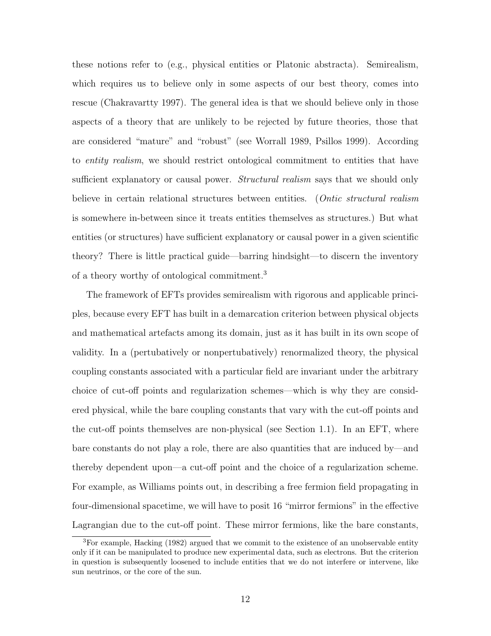these notions refer to (e.g., physical entities or Platonic abstracta). Semirealism, which requires us to believe only in some aspects of our best theory, comes into rescue (Chakravartty 1997). The general idea is that we should believe only in those aspects of a theory that are unlikely to be rejected by future theories, those that are considered "mature" and "robust" (see Worrall 1989, Psillos 1999). According to entity realism, we should restrict ontological commitment to entities that have sufficient explanatory or causal power. *Structural realism* says that we should only believe in certain relational structures between entities. (*Ontic structural realism* is somewhere in-between since it treats entities themselves as structures.) But what entities (or structures) have sufficient explanatory or causal power in a given scientific theory? There is little practical guide—barring hindsight—to discern the inventory of a theory worthy of ontological commitment.<sup>3</sup>

The framework of EFTs provides semirealism with rigorous and applicable principles, because every EFT has built in a demarcation criterion between physical objects and mathematical artefacts among its domain, just as it has built in its own scope of validity. In a (pertubatively or nonpertubatively) renormalized theory, the physical coupling constants associated with a particular field are invariant under the arbitrary choice of cut-off points and regularization schemes—which is why they are considered physical, while the bare coupling constants that vary with the cut-off points and the cut-off points themselves are non-physical (see Section 1.1). In an EFT, where bare constants do not play a role, there are also quantities that are induced by—and thereby dependent upon—a cut-off point and the choice of a regularization scheme. For example, as Williams points out, in describing a free fermion field propagating in four-dimensional spacetime, we will have to posit 16 "mirror fermions" in the effective Lagrangian due to the cut-off point. These mirror fermions, like the bare constants,

<sup>3</sup>For example, Hacking (1982) argued that we commit to the existence of an unobservable entity only if it can be manipulated to produce new experimental data, such as electrons. But the criterion in question is subsequently loosened to include entities that we do not interfere or intervene, like sun neutrinos, or the core of the sun.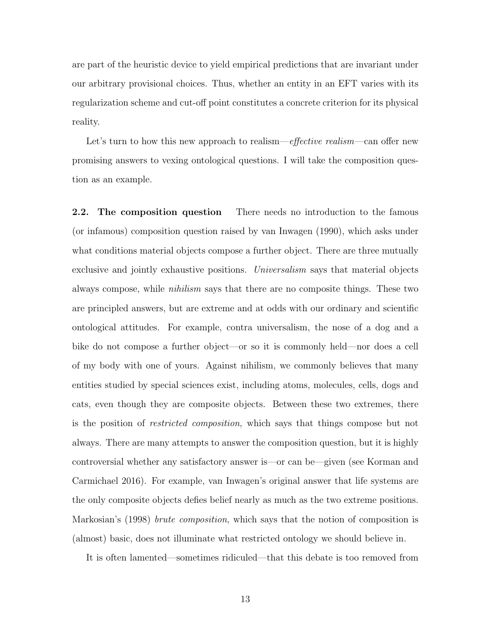are part of the heuristic device to yield empirical predictions that are invariant under our arbitrary provisional choices. Thus, whether an entity in an EFT varies with its regularization scheme and cut-off point constitutes a concrete criterion for its physical reality.

Let's turn to how this new approach to realism—effective realism—can offer new promising answers to vexing ontological questions. I will take the composition question as an example.

2.2. The composition question There needs no introduction to the famous (or infamous) composition question raised by van Inwagen (1990), which asks under what conditions material objects compose a further object. There are three mutually exclusive and jointly exhaustive positions. Universalism says that material objects always compose, while nihilism says that there are no composite things. These two are principled answers, but are extreme and at odds with our ordinary and scientific ontological attitudes. For example, contra universalism, the nose of a dog and a bike do not compose a further object—or so it is commonly held—nor does a cell of my body with one of yours. Against nihilism, we commonly believes that many entities studied by special sciences exist, including atoms, molecules, cells, dogs and cats, even though they are composite objects. Between these two extremes, there is the position of restricted composition, which says that things compose but not always. There are many attempts to answer the composition question, but it is highly controversial whether any satisfactory answer is—or can be—given (see Korman and Carmichael 2016). For example, van Inwagen's original answer that life systems are the only composite objects defies belief nearly as much as the two extreme positions. Markosian's (1998) *brute composition*, which says that the notion of composition is (almost) basic, does not illuminate what restricted ontology we should believe in.

It is often lamented—sometimes ridiculed—that this debate is too removed from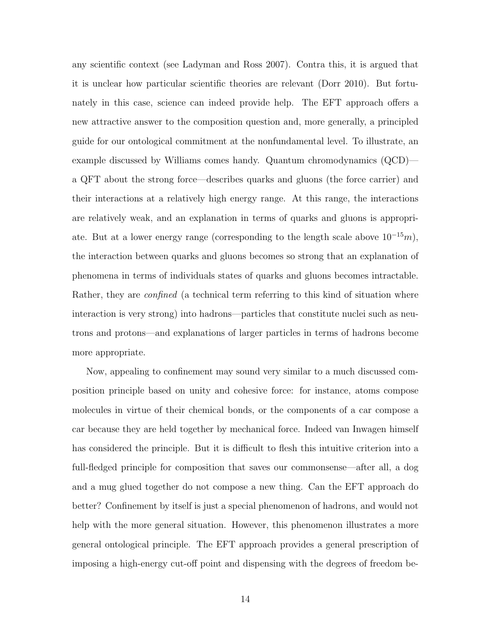any scientific context (see Ladyman and Ross 2007). Contra this, it is argued that it is unclear how particular scientific theories are relevant (Dorr 2010). But fortunately in this case, science can indeed provide help. The EFT approach offers a new attractive answer to the composition question and, more generally, a principled guide for our ontological commitment at the nonfundamental level. To illustrate, an example discussed by Williams comes handy. Quantum chromodynamics (QCD) a QFT about the strong force—describes quarks and gluons (the force carrier) and their interactions at a relatively high energy range. At this range, the interactions are relatively weak, and an explanation in terms of quarks and gluons is appropriate. But at a lower energy range (corresponding to the length scale above  $10^{-15}m$ ), the interaction between quarks and gluons becomes so strong that an explanation of phenomena in terms of individuals states of quarks and gluons becomes intractable. Rather, they are *confined* (a technical term referring to this kind of situation where interaction is very strong) into hadrons—particles that constitute nuclei such as neutrons and protons—and explanations of larger particles in terms of hadrons become more appropriate.

Now, appealing to confinement may sound very similar to a much discussed composition principle based on unity and cohesive force: for instance, atoms compose molecules in virtue of their chemical bonds, or the components of a car compose a car because they are held together by mechanical force. Indeed van Inwagen himself has considered the principle. But it is difficult to flesh this intuitive criterion into a full-fledged principle for composition that saves our commonsense—after all, a dog and a mug glued together do not compose a new thing. Can the EFT approach do better? Confinement by itself is just a special phenomenon of hadrons, and would not help with the more general situation. However, this phenomenon illustrates a more general ontological principle. The EFT approach provides a general prescription of imposing a high-energy cut-off point and dispensing with the degrees of freedom be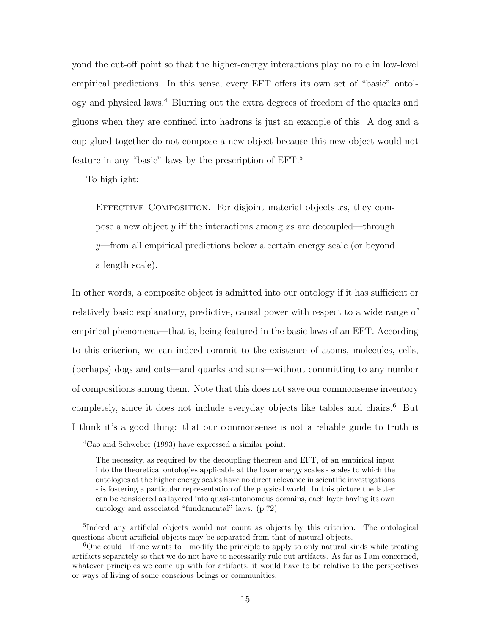yond the cut-off point so that the higher-energy interactions play no role in low-level empirical predictions. In this sense, every EFT offers its own set of "basic" ontology and physical laws.<sup>4</sup> Blurring out the extra degrees of freedom of the quarks and gluons when they are confined into hadrons is just an example of this. A dog and a cup glued together do not compose a new object because this new object would not feature in any "basic" laws by the prescription of EFT.<sup>5</sup>

To highlight:

EFFECTIVE COMPOSITION. For disjoint material objects  $xs$ , they compose a new object  $y$  iff the interactions among x are decoupled—through  $y$ —from all empirical predictions below a certain energy scale (or beyond a length scale).

In other words, a composite object is admitted into our ontology if it has sufficient or relatively basic explanatory, predictive, causal power with respect to a wide range of empirical phenomena—that is, being featured in the basic laws of an EFT. According to this criterion, we can indeed commit to the existence of atoms, molecules, cells, (perhaps) dogs and cats—and quarks and suns—without committing to any number of compositions among them. Note that this does not save our commonsense inventory completely, since it does not include everyday objects like tables and chairs.<sup>6</sup> But I think it's a good thing: that our commonsense is not a reliable guide to truth is

 ${}^{4}$ Cao and Schweber (1993) have expressed a similar point:

The necessity, as required by the decoupling theorem and EFT, of an empirical input into the theoretical ontologies applicable at the lower energy scales - scales to which the ontologies at the higher energy scales have no direct relevance in scientific investigations - is fostering a particular representation of the physical world. In this picture the latter can be considered as layered into quasi-autonomous domains, each layer having its own ontology and associated "fundamental" laws. (p.72)

<sup>&</sup>lt;sup>5</sup>Indeed any artificial objects would not count as objects by this criterion. The ontological questions about artificial objects may be separated from that of natural objects.

<sup>6</sup>One could—if one wants to—modify the principle to apply to only natural kinds while treating artifacts separately so that we do not have to necessarily rule out artifacts. As far as I am concerned, whatever principles we come up with for artifacts, it would have to be relative to the perspectives or ways of living of some conscious beings or communities.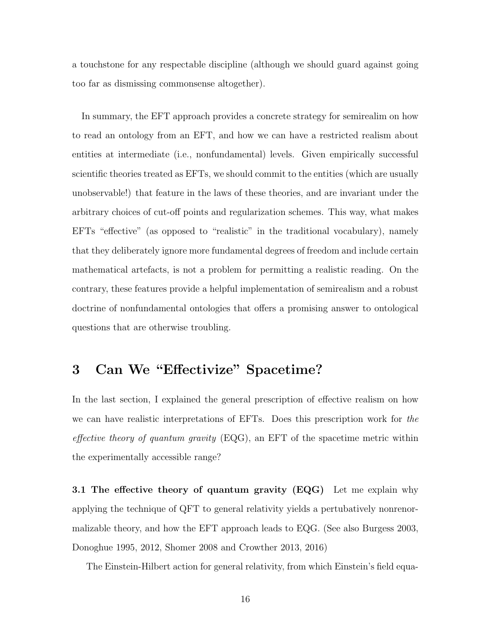a touchstone for any respectable discipline (although we should guard against going too far as dismissing commonsense altogether).

In summary, the EFT approach provides a concrete strategy for semirealim on how to read an ontology from an EFT, and how we can have a restricted realism about entities at intermediate (i.e., nonfundamental) levels. Given empirically successful scientific theories treated as EFTs, we should commit to the entities (which are usually unobservable!) that feature in the laws of these theories, and are invariant under the arbitrary choices of cut-off points and regularization schemes. This way, what makes EFTs "effective" (as opposed to "realistic" in the traditional vocabulary), namely that they deliberately ignore more fundamental degrees of freedom and include certain mathematical artefacts, is not a problem for permitting a realistic reading. On the contrary, these features provide a helpful implementation of semirealism and a robust doctrine of nonfundamental ontologies that offers a promising answer to ontological questions that are otherwise troubling.

## 3 Can We "Effectivize" Spacetime?

In the last section, I explained the general prescription of effective realism on how we can have realistic interpretations of EFTs. Does this prescription work for the effective theory of quantum gravity  $(EQG)$ , an EFT of the spacetime metric within the experimentally accessible range?

**3.1 The effective theory of quantum gravity (EQG)** Let me explain why applying the technique of QFT to general relativity yields a pertubatively nonrenormalizable theory, and how the EFT approach leads to EQG. (See also Burgess 2003, Donoghue 1995, 2012, Shomer 2008 and Crowther 2013, 2016)

The Einstein-Hilbert action for general relativity, from which Einstein's field equa-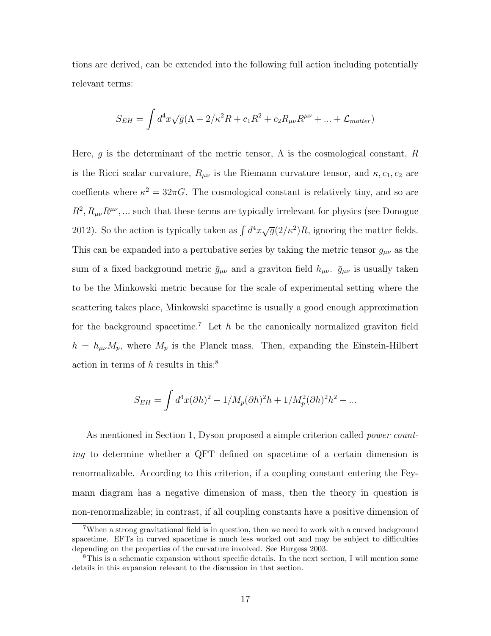tions are derived, can be extended into the following full action including potentially relevant terms:

$$
S_{EH} = \int d^4x \sqrt{g} (\Lambda + 2/\kappa^2 R + c_1 R^2 + c_2 R_{\mu\nu} R^{\mu\nu} + \dots + \mathcal{L}_{matter})
$$

Here, q is the determinant of the metric tensor,  $\Lambda$  is the cosmological constant, R is the Ricci scalar curvature,  $R_{\mu\nu}$  is the Riemann curvature tensor, and  $\kappa, c_1, c_2$  are coeffients where  $\kappa^2 = 32\pi G$ . The cosmological constant is relatively tiny, and so are  $R^2, R_{\mu\nu}R^{\mu\nu},\dots$  such that these terms are typically irrelevant for physics (see Donogue 2012). So the action is typically taken as  $\int d^4x \sqrt{g}(2/\kappa^2)R$ , ignoring the matter fields. This can be expanded into a pertubative series by taking the metric tensor  $g_{\mu\nu}$  as the sum of a fixed background metric  $\bar{g}_{\mu\nu}$  and a graviton field  $h_{\mu\nu}$ .  $\bar{g}_{\mu\nu}$  is usually taken to be the Minkowski metric because for the scale of experimental setting where the scattering takes place, Minkowski spacetime is usually a good enough approximation for the background spacetime.<sup>7</sup> Let  $h$  be the canonically normalized graviton field  $h = h_{\mu\nu}M_p$ , where  $M_p$  is the Planck mass. Then, expanding the Einstein-Hilbert action in terms of h results in this:<sup>8</sup>

$$
S_{EH} = \int d^4x (\partial h)^2 + 1/M_p (\partial h)^2 h + 1/M_p^2 (\partial h)^2 h^2 + \dots
$$

As mentioned in Section 1, Dyson proposed a simple criterion called power counting to determine whether a QFT defined on spacetime of a certain dimension is renormalizable. According to this criterion, if a coupling constant entering the Feymann diagram has a negative dimension of mass, then the theory in question is non-renormalizable; in contrast, if all coupling constants have a positive dimension of

<sup>&</sup>lt;sup>7</sup>When a strong gravitational field is in question, then we need to work with a curved background spacetime. EFTs in curved spacetime is much less worked out and may be subject to difficulties depending on the properties of the curvature involved. See Burgess 2003.

<sup>8</sup>This is a schematic expansion without specific details. In the next section, I will mention some details in this expansion relevant to the discussion in that section.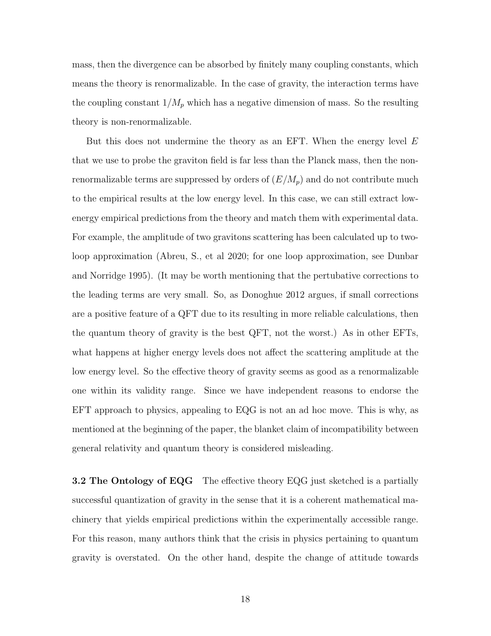mass, then the divergence can be absorbed by finitely many coupling constants, which means the theory is renormalizable. In the case of gravity, the interaction terms have the coupling constant  $1/M_p$  which has a negative dimension of mass. So the resulting theory is non-renormalizable.

But this does not undermine the theory as an EFT. When the energy level  $E$ that we use to probe the graviton field is far less than the Planck mass, then the nonrenormalizable terms are suppressed by orders of  $(E/M_p)$  and do not contribute much to the empirical results at the low energy level. In this case, we can still extract lowenergy empirical predictions from the theory and match them with experimental data. For example, the amplitude of two gravitons scattering has been calculated up to twoloop approximation (Abreu, S., et al 2020; for one loop approximation, see Dunbar and Norridge 1995). (It may be worth mentioning that the pertubative corrections to the leading terms are very small. So, as Donoghue 2012 argues, if small corrections are a positive feature of a QFT due to its resulting in more reliable calculations, then the quantum theory of gravity is the best QFT, not the worst.) As in other EFTs, what happens at higher energy levels does not affect the scattering amplitude at the low energy level. So the effective theory of gravity seems as good as a renormalizable one within its validity range. Since we have independent reasons to endorse the EFT approach to physics, appealing to EQG is not an ad hoc move. This is why, as mentioned at the beginning of the paper, the blanket claim of incompatibility between general relativity and quantum theory is considered misleading.

**3.2 The Ontology of EQG** The effective theory EQG just sketched is a partially successful quantization of gravity in the sense that it is a coherent mathematical machinery that yields empirical predictions within the experimentally accessible range. For this reason, many authors think that the crisis in physics pertaining to quantum gravity is overstated. On the other hand, despite the change of attitude towards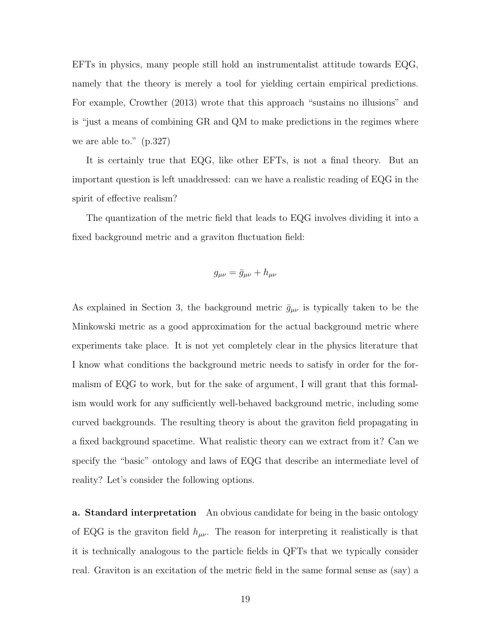EFTs in physics, many people still hold an instrumentalist attitude towards EQG, namely that the theory is merely a tool for yielding certain empirical predictions. For example, Crowther (2013) wrote that this approach "sustains no illusions" and is "just a means of combining GR and QM to make predictions in the regimes where we are able to." (p.327)

It is certainly true that EQG, like other EFTs, is not a final theory. But an important question is left unaddressed: can we have a realistic reading of EQG in the spirit of effective realism?

The quantization of the metric field that leads to EQG involves dividing it into a fixed background metric and a graviton fluctuation field:

$$
g_{\mu\nu} = \bar{g}_{\mu\nu} + h_{\mu\nu}
$$

As explained in Section 3, the background metric  $\bar{g}_{\mu\nu}$  is typically taken to be the Minkowski metric as a good approximation for the actual background metric where experiments take place. It is not yet completely clear in the physics literature that I know what conditions the background metric needs to satisfy in order for the formalism of EQG to work, but for the sake of argument, I will grant that this formalism would work for any sufficiently well-behaved background metric, including some curved backgrounds. The resulting theory is about the graviton field propagating in a fixed background spacetime. What realistic theory can we extract from it? Can we specify the "basic" ontology and laws of EQG that describe an intermediate level of reality? Let's consider the following options.

a. Standard interpretation An obvious candidate for being in the basic ontology of EQG is the graviton field  $h_{\mu\nu}$ . The reason for interpreting it realistically is that it is technically analogous to the particle fields in QFTs that we typically consider real. Graviton is an excitation of the metric field in the same formal sense as (say) a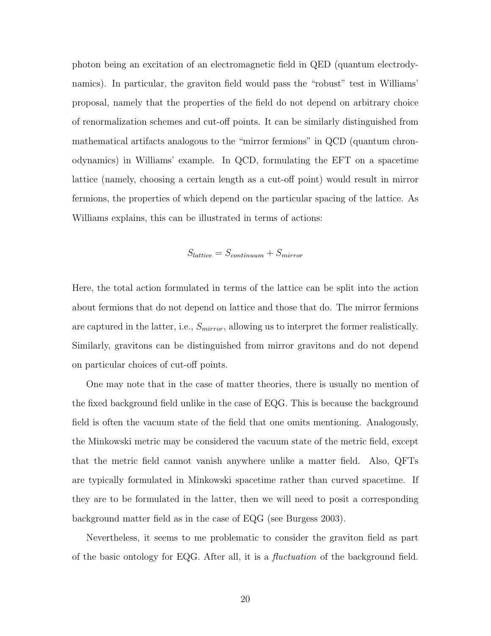photon being an excitation of an electromagnetic field in QED (quantum electrodynamics). In particular, the graviton field would pass the "robust" test in Williams' proposal, namely that the properties of the field do not depend on arbitrary choice of renormalization schemes and cut-off points. It can be similarly distinguished from mathematical artifacts analogous to the "mirror fermions" in QCD (quantum chronodynamics) in Williams' example. In QCD, formulating the EFT on a spacetime lattice (namely, choosing a certain length as a cut-off point) would result in mirror fermions, the properties of which depend on the particular spacing of the lattice. As Williams explains, this can be illustrated in terms of actions:

$$
S_{lattice} = S_{continuum} + S_{mirror}
$$

Here, the total action formulated in terms of the lattice can be split into the action about fermions that do not depend on lattice and those that do. The mirror fermions are captured in the latter, i.e.,  $S<sub>mirror</sub>$ , allowing us to interpret the former realistically. Similarly, gravitons can be distinguished from mirror gravitons and do not depend on particular choices of cut-off points.

One may note that in the case of matter theories, there is usually no mention of the fixed background field unlike in the case of EQG. This is because the background field is often the vacuum state of the field that one omits mentioning. Analogously, the Minkowski metric may be considered the vacuum state of the metric field, except that the metric field cannot vanish anywhere unlike a matter field. Also, QFTs are typically formulated in Minkowski spacetime rather than curved spacetime. If they are to be formulated in the latter, then we will need to posit a corresponding background matter field as in the case of EQG (see Burgess 2003).

Nevertheless, it seems to me problematic to consider the graviton field as part of the basic ontology for EQG. After all, it is a *fluctuation* of the background field.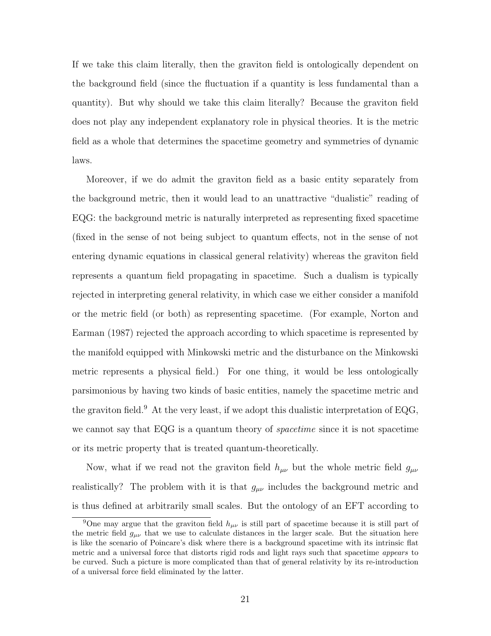If we take this claim literally, then the graviton field is ontologically dependent on the background field (since the fluctuation if a quantity is less fundamental than a quantity). But why should we take this claim literally? Because the graviton field does not play any independent explanatory role in physical theories. It is the metric field as a whole that determines the spacetime geometry and symmetries of dynamic laws.

Moreover, if we do admit the graviton field as a basic entity separately from the background metric, then it would lead to an unattractive "dualistic" reading of EQG: the background metric is naturally interpreted as representing fixed spacetime (fixed in the sense of not being subject to quantum effects, not in the sense of not entering dynamic equations in classical general relativity) whereas the graviton field represents a quantum field propagating in spacetime. Such a dualism is typically rejected in interpreting general relativity, in which case we either consider a manifold or the metric field (or both) as representing spacetime. (For example, Norton and Earman (1987) rejected the approach according to which spacetime is represented by the manifold equipped with Minkowski metric and the disturbance on the Minkowski metric represents a physical field.) For one thing, it would be less ontologically parsimonious by having two kinds of basic entities, namely the spacetime metric and the graviton field.<sup>9</sup> At the very least, if we adopt this dualistic interpretation of EQG, we cannot say that EQG is a quantum theory of *spacetime* since it is not spacetime or its metric property that is treated quantum-theoretically.

Now, what if we read not the graviton field  $h_{\mu\nu}$  but the whole metric field  $g_{\mu\nu}$ realistically? The problem with it is that  $g_{\mu\nu}$  includes the background metric and is thus defined at arbitrarily small scales. But the ontology of an EFT according to

<sup>&</sup>lt;sup>9</sup>One may argue that the graviton field  $h_{\mu\nu}$  is still part of spacetime because it is still part of the metric field  $g_{\mu\nu}$  that we use to calculate distances in the larger scale. But the situation here is like the scenario of Poincare's disk where there is a background spacetime with its intrinsic flat metric and a universal force that distorts rigid rods and light rays such that spacetime appears to be curved. Such a picture is more complicated than that of general relativity by its re-introduction of a universal force field eliminated by the latter.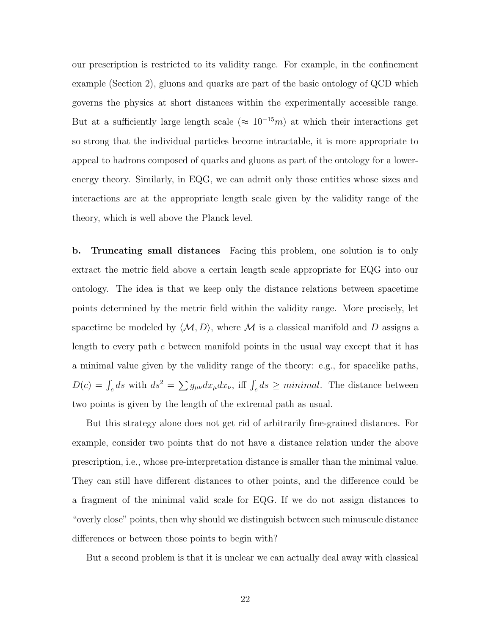our prescription is restricted to its validity range. For example, in the confinement example (Section 2), gluons and quarks are part of the basic ontology of QCD which governs the physics at short distances within the experimentally accessible range. But at a sufficiently large length scale ( $\approx 10^{-15}m$ ) at which their interactions get so strong that the individual particles become intractable, it is more appropriate to appeal to hadrons composed of quarks and gluons as part of the ontology for a lowerenergy theory. Similarly, in EQG, we can admit only those entities whose sizes and interactions are at the appropriate length scale given by the validity range of the theory, which is well above the Planck level.

b. Truncating small distances Facing this problem, one solution is to only extract the metric field above a certain length scale appropriate for EQG into our ontology. The idea is that we keep only the distance relations between spacetime points determined by the metric field within the validity range. More precisely, let spacetime be modeled by  $\langle M, D \rangle$ , where M is a classical manifold and D assigns a length to every path c between manifold points in the usual way except that it has a minimal value given by the validity range of the theory: e.g., for spacelike paths,  $D(c) = \int_c ds$  with  $ds^2 = \sum g_{\mu\nu} dx_{\mu} dx_{\nu}$ , iff  $\int_c ds \geq minimal$ . The distance between two points is given by the length of the extremal path as usual.

But this strategy alone does not get rid of arbitrarily fine-grained distances. For example, consider two points that do not have a distance relation under the above prescription, i.e., whose pre-interpretation distance is smaller than the minimal value. They can still have different distances to other points, and the difference could be a fragment of the minimal valid scale for EQG. If we do not assign distances to "overly close" points, then why should we distinguish between such minuscule distance differences or between those points to begin with?

But a second problem is that it is unclear we can actually deal away with classical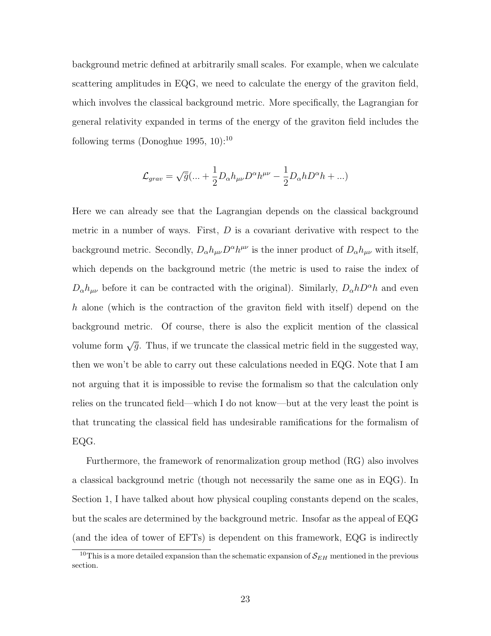background metric defined at arbitrarily small scales. For example, when we calculate scattering amplitudes in EQG, we need to calculate the energy of the graviton field, which involves the classical background metric. More specifically, the Lagrangian for general relativity expanded in terms of the energy of the graviton field includes the following terms (Donoghue 1995, 10):<sup>10</sup>

$$
\mathcal{L}_{grav} = \sqrt{\bar{g}} (\dots + \frac{1}{2} D_{\alpha} h_{\mu\nu} D^{\alpha} h^{\mu\nu} - \frac{1}{2} D_{\alpha} h D^{\alpha} h + \dots)
$$

Here we can already see that the Lagrangian depends on the classical background metric in a number of ways. First,  $D$  is a covariant derivative with respect to the background metric. Secondly,  $D_{\alpha}h_{\mu\nu}D^{\alpha}h^{\mu\nu}$  is the inner product of  $D_{\alpha}h_{\mu\nu}$  with itself, which depends on the background metric (the metric is used to raise the index of  $D_{\alpha}h_{\mu\nu}$  before it can be contracted with the original). Similarly,  $D_{\alpha}hD^{\alpha}h$  and even h alone (which is the contraction of the graviton field with itself) depend on the background metric. Of course, there is also the explicit mention of the classical volume form  $\sqrt{\bar{g}}$ . Thus, if we truncate the classical metric field in the suggested way, then we won't be able to carry out these calculations needed in EQG. Note that I am not arguing that it is impossible to revise the formalism so that the calculation only relies on the truncated field—which I do not know—but at the very least the point is that truncating the classical field has undesirable ramifications for the formalism of EQG.

Furthermore, the framework of renormalization group method (RG) also involves a classical background metric (though not necessarily the same one as in EQG). In Section 1, I have talked about how physical coupling constants depend on the scales, but the scales are determined by the background metric. Insofar as the appeal of EQG (and the idea of tower of EFTs) is dependent on this framework, EQG is indirectly

<sup>&</sup>lt;sup>10</sup>This is a more detailed expansion than the schematic expansion of  $S_{EH}$  mentioned in the previous section.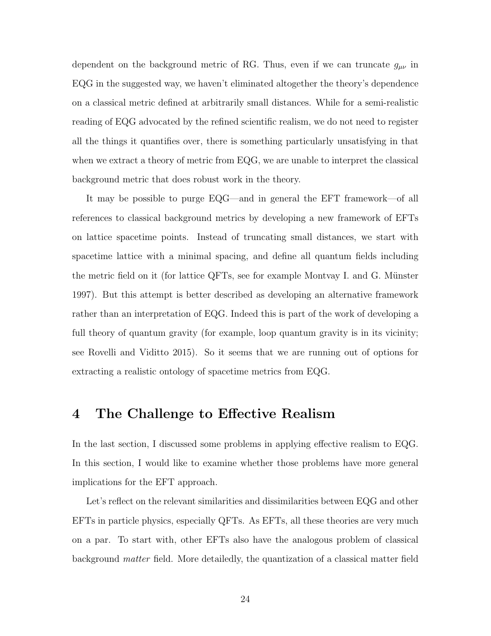dependent on the background metric of RG. Thus, even if we can truncate  $g_{\mu\nu}$  in EQG in the suggested way, we haven't eliminated altogether the theory's dependence on a classical metric defined at arbitrarily small distances. While for a semi-realistic reading of EQG advocated by the refined scientific realism, we do not need to register all the things it quantifies over, there is something particularly unsatisfying in that when we extract a theory of metric from EQG, we are unable to interpret the classical background metric that does robust work in the theory.

It may be possible to purge EQG—and in general the EFT framework—of all references to classical background metrics by developing a new framework of EFTs on lattice spacetime points. Instead of truncating small distances, we start with spacetime lattice with a minimal spacing, and define all quantum fields including the metric field on it (for lattice QFTs, see for example Montvay I. and G. Münster 1997). But this attempt is better described as developing an alternative framework rather than an interpretation of EQG. Indeed this is part of the work of developing a full theory of quantum gravity (for example, loop quantum gravity is in its vicinity; see Rovelli and Viditto 2015). So it seems that we are running out of options for extracting a realistic ontology of spacetime metrics from EQG.

## 4 The Challenge to Effective Realism

In the last section, I discussed some problems in applying effective realism to EQG. In this section, I would like to examine whether those problems have more general implications for the EFT approach.

Let's reflect on the relevant similarities and dissimilarities between EQG and other EFTs in particle physics, especially QFTs. As EFTs, all these theories are very much on a par. To start with, other EFTs also have the analogous problem of classical background matter field. More detailedly, the quantization of a classical matter field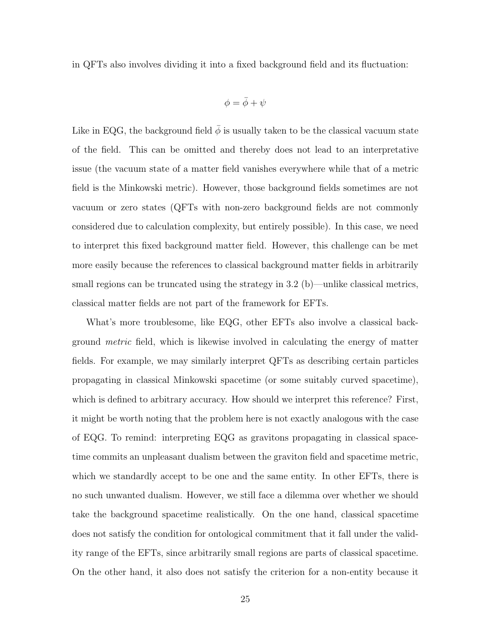in QFTs also involves dividing it into a fixed background field and its fluctuation:

$$
\phi = \bar{\phi} + \psi
$$

Like in EQG, the background field  $\phi$  is usually taken to be the classical vacuum state of the field. This can be omitted and thereby does not lead to an interpretative issue (the vacuum state of a matter field vanishes everywhere while that of a metric field is the Minkowski metric). However, those background fields sometimes are not vacuum or zero states (QFTs with non-zero background fields are not commonly considered due to calculation complexity, but entirely possible). In this case, we need to interpret this fixed background matter field. However, this challenge can be met more easily because the references to classical background matter fields in arbitrarily small regions can be truncated using the strategy in 3.2 (b)—unlike classical metrics, classical matter fields are not part of the framework for EFTs.

What's more troublesome, like EQG, other EFTs also involve a classical background metric field, which is likewise involved in calculating the energy of matter fields. For example, we may similarly interpret QFTs as describing certain particles propagating in classical Minkowski spacetime (or some suitably curved spacetime), which is defined to arbitrary accuracy. How should we interpret this reference? First, it might be worth noting that the problem here is not exactly analogous with the case of EQG. To remind: interpreting EQG as gravitons propagating in classical spacetime commits an unpleasant dualism between the graviton field and spacetime metric, which we standardly accept to be one and the same entity. In other EFTs, there is no such unwanted dualism. However, we still face a dilemma over whether we should take the background spacetime realistically. On the one hand, classical spacetime does not satisfy the condition for ontological commitment that it fall under the validity range of the EFTs, since arbitrarily small regions are parts of classical spacetime. On the other hand, it also does not satisfy the criterion for a non-entity because it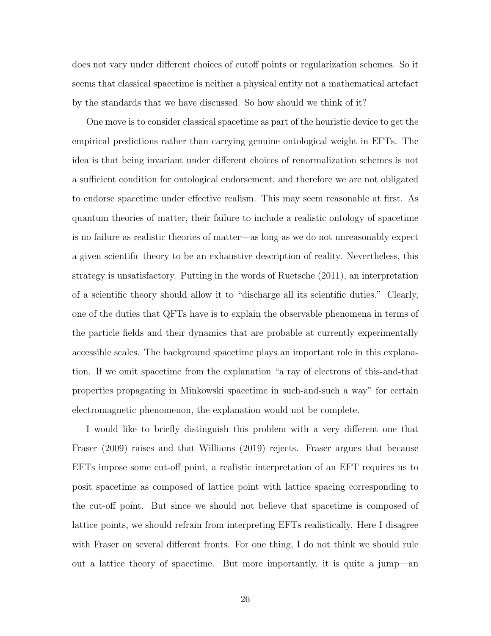does not vary under different choices of cutoff points or regularization schemes. So it seems that classical spacetime is neither a physical entity not a mathematical artefact by the standards that we have discussed. So how should we think of it?

One move is to consider classical spacetime as part of the heuristic device to get the empirical predictions rather than carrying genuine ontological weight in EFTs. The idea is that being invariant under different choices of renormalization schemes is not a sufficient condition for ontological endorsement, and therefore we are not obligated to endorse spacetime under effective realism. This may seem reasonable at first. As quantum theories of matter, their failure to include a realistic ontology of spacetime is no failure as realistic theories of matter—as long as we do not unreasonably expect a given scientific theory to be an exhaustive description of reality. Nevertheless, this strategy is unsatisfactory. Putting in the words of Ruetsche (2011), an interpretation of a scientific theory should allow it to "discharge all its scientific duties." Clearly, one of the duties that QFTs have is to explain the observable phenomena in terms of the particle fields and their dynamics that are probable at currently experimentally accessible scales. The background spacetime plays an important role in this explanation. If we omit spacetime from the explanation "a ray of electrons of this-and-that properties propagating in Minkowski spacetime in such-and-such a way" for certain electromagnetic phenomenon, the explanation would not be complete.

I would like to briefly distinguish this problem with a very different one that Fraser (2009) raises and that Williams (2019) rejects. Fraser argues that because EFTs impose some cut-off point, a realistic interpretation of an EFT requires us to posit spacetime as composed of lattice point with lattice spacing corresponding to the cut-off point. But since we should not believe that spacetime is composed of lattice points, we should refrain from interpreting EFTs realistically. Here I disagree with Fraser on several different fronts. For one thing, I do not think we should rule out a lattice theory of spacetime. But more importantly, it is quite a jump—an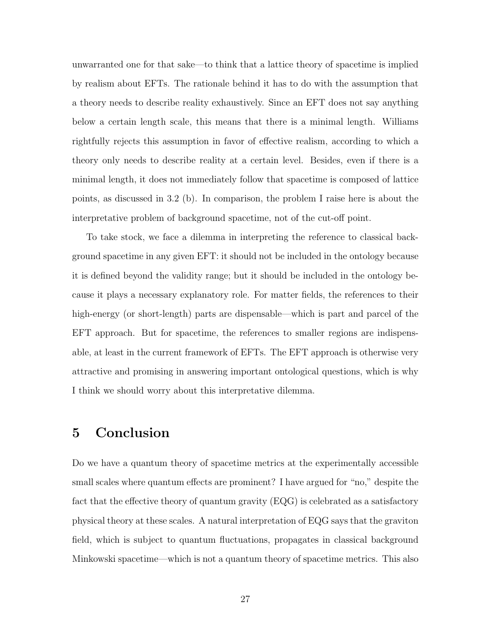unwarranted one for that sake—to think that a lattice theory of spacetime is implied by realism about EFTs. The rationale behind it has to do with the assumption that a theory needs to describe reality exhaustively. Since an EFT does not say anything below a certain length scale, this means that there is a minimal length. Williams rightfully rejects this assumption in favor of effective realism, according to which a theory only needs to describe reality at a certain level. Besides, even if there is a minimal length, it does not immediately follow that spacetime is composed of lattice points, as discussed in 3.2 (b). In comparison, the problem I raise here is about the interpretative problem of background spacetime, not of the cut-off point.

To take stock, we face a dilemma in interpreting the reference to classical background spacetime in any given EFT: it should not be included in the ontology because it is defined beyond the validity range; but it should be included in the ontology because it plays a necessary explanatory role. For matter fields, the references to their high-energy (or short-length) parts are dispensable—which is part and parcel of the EFT approach. But for spacetime, the references to smaller regions are indispensable, at least in the current framework of EFTs. The EFT approach is otherwise very attractive and promising in answering important ontological questions, which is why I think we should worry about this interpretative dilemma.

#### 5 Conclusion

Do we have a quantum theory of spacetime metrics at the experimentally accessible small scales where quantum effects are prominent? I have argued for "no," despite the fact that the effective theory of quantum gravity (EQG) is celebrated as a satisfactory physical theory at these scales. A natural interpretation of EQG says that the graviton field, which is subject to quantum fluctuations, propagates in classical background Minkowski spacetime—which is not a quantum theory of spacetime metrics. This also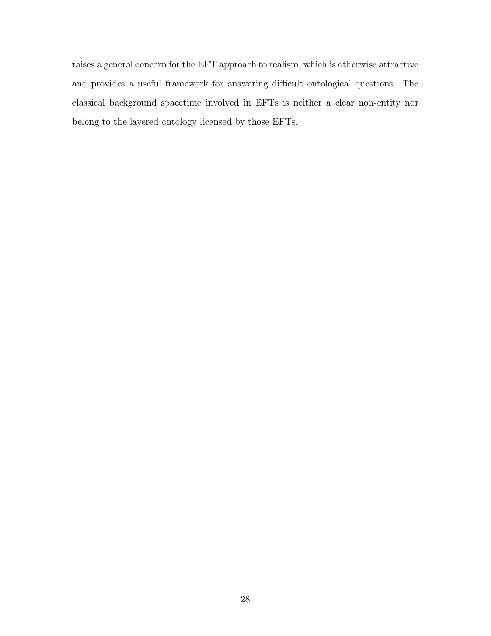raises a general concern for the EFT approach to realism, which is otherwise attractive and provides a useful framework for answering difficult ontological questions. The classical background spacetime involved in EFTs is neither a clear non-entity nor belong to the layered ontology licensed by those EFTs.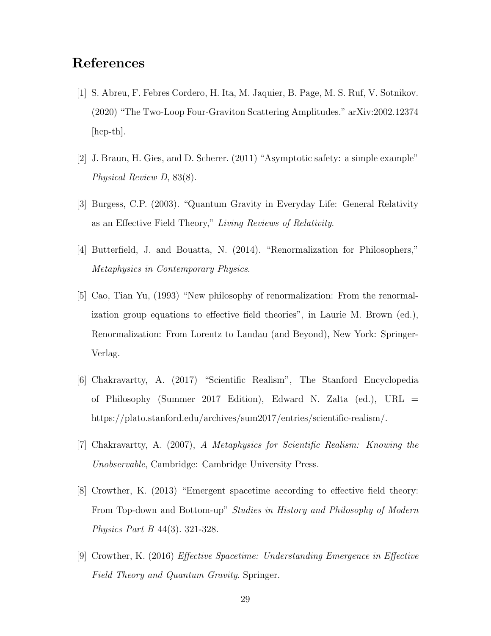## References

- [1] S. Abreu, F. Febres Cordero, H. Ita, M. Jaquier, B. Page, M. S. Ruf, V. Sotnikov. (2020) "The Two-Loop Four-Graviton Scattering Amplitudes." arXiv:2002.12374 [hep-th].
- [2] J. Braun, H. Gies, and D. Scherer. (2011) "Asymptotic safety: a simple example" Physical Review D, 83(8).
- [3] Burgess, C.P. (2003). "Quantum Gravity in Everyday Life: General Relativity as an Effective Field Theory," Living Reviews of Relativity.
- [4] Butterfield, J. and Bouatta, N. (2014). "Renormalization for Philosophers," Metaphysics in Contemporary Physics.
- [5] Cao, Tian Yu, (1993) "New philosophy of renormalization: From the renormalization group equations to effective field theories", in Laurie M. Brown (ed.), Renormalization: From Lorentz to Landau (and Beyond), New York: Springer-Verlag.
- [6] Chakravartty, A. (2017) "Scientific Realism", The Stanford Encyclopedia of Philosophy (Summer 2017 Edition), Edward N. Zalta (ed.), URL = https://plato.stanford.edu/archives/sum2017/entries/scientific-realism/.
- [7] Chakravartty, A. (2007), A Metaphysics for Scientific Realism: Knowing the Unobservable, Cambridge: Cambridge University Press.
- [8] Crowther, K. (2013) "Emergent spacetime according to effective field theory: From Top-down and Bottom-up" Studies in History and Philosophy of Modern Physics Part B 44(3). 321-328.
- [9] Crowther, K. (2016) Effective Spacetime: Understanding Emergence in Effective Field Theory and Quantum Gravity. Springer.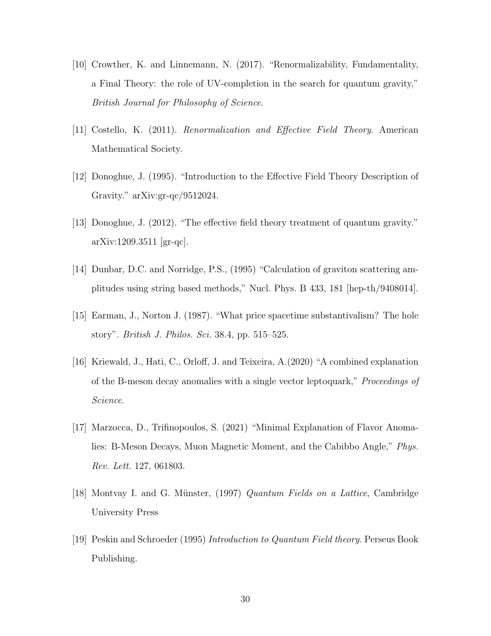- [10] Crowther, K. and Linnemann, N. (2017). "Renormalizability, Fundamentality, a Final Theory: the role of UV-completion in the search for quantum gravity," British Journal for Philosophy of Science.
- [11] Costello, K. (2011). Renormalization and Effective Field Theory. American Mathematical Society.
- [12] Donoghue, J. (1995). "Introduction to the Effective Field Theory Description of Gravity." arXiv:gr-qc/9512024.
- [13] Donoghue, J. (2012). "The effective field theory treatment of quantum gravity." arXiv:1209.3511 [gr-qc].
- [14] Dunbar, D.C. and Norridge, P.S., (1995) "Calculation of graviton scattering amplitudes using string based methods," Nucl. Phys. B 433, 181 [hep-th/9408014].
- [15] Earman, J., Norton J. (1987). "What price spacetime substantivalism? The hole story". British J. Philos. Sci. 38.4, pp. 515–525.
- [16] Kriewald, J., Hati, C., Orloff, J. and Teixeira, A.(2020) "A combined explanation of the B-meson decay anomalies with a single vector leptoquark," Proceedings of Science.
- [17] Marzocca, D., Trifinopoulos, S. (2021) "Minimal Explanation of Flavor Anomalies: B-Meson Decays, Muon Magnetic Moment, and the Cabibbo Angle," Phys. Rev. Lett. 127, 061803.
- [18] Montvay I. and G. M¨unster, (1997) Quantum Fields on a Lattice, Cambridge University Press
- [19] Peskin and Schroeder (1995) Introduction to Quantum Field theory. Perseus Book Publishing.